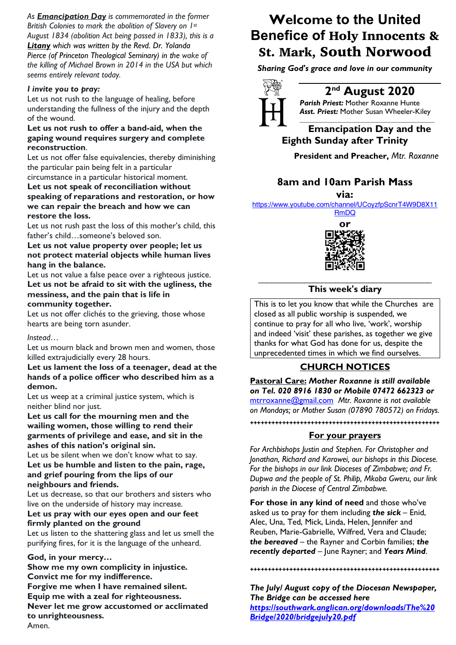*As Emancipation Day is commemorated in the former British Colonies to mark the abolition of Slavery on 1st August 1834 (abolition Act being passed in 1833), this is a Litany which was written by the Revd. Dr. Yolanda Pierce (of Princeton Theological Seminary) in the wake of the killing of Michael Brown in 2014 in the USA but which seems entirely relevant today.*

### *I invite you to pray:*

Let us not rush to the language of healing, before understanding the fullness of the injury and the depth of the wound.

### **Let us not rush to offer a band-aid, when the gaping wound requires surgery and complete reconstruction**.

Let us not offer false equivalencies, thereby diminishing the particular pain being felt in a particular

### circumstance in a particular historical moment. **Let us not speak of reconciliation without speaking of reparations and restoration, or how we can repair the breach and how we can restore the loss.**

Let us not rush past the loss of this mother's child, this father's child…someone's beloved son.

## **Let us not value property over people; let us not protect material objects while human lives hang in the balance.**

Let us not value a false peace over a righteous justice. **Let us not be afraid to sit with the ugliness, the messiness, and the pain that is life in community together.**

Let us not offer clichés to the grieving, those whose hearts are being torn asunder.

### *Instead…*

Let us mourn black and brown men and women, those killed extrajudicially every 28 hours.

### **Let us lament the loss of a teenager, dead at the hands of a police officer who described him as a demon.**

Let us weep at a criminal justice system, which is neither blind nor just.

**Let us call for the mourning men and the wailing women, those willing to rend their garments of privilege and ease, and sit in the ashes of this nation's original sin.**

Let us be silent when we don't know what to say. **Let us be humble and listen to the pain, rage, and grief pouring from the lips of our neighbours and friends.**

Let us decrease, so that our brothers and sisters who live on the underside of history may increase.

### **Let us pray with our eyes open and our feet firmly planted on the ground**

Let us listen to the shattering glass and let us smell the purifying fires, for it is the language of the unheard.

### **God, in your mercy…**

**Show me my own complicity in injustice. Convict me for my indifference. Forgive me when I have remained silent. Equip me with a zeal for righteousness. Never let me grow accustomed or acclimated to unrighteousness.** Amen.

# **Welcome to the United Benefice of** Holy Innocents & St. Mark, South Norwood

*Sharing God's grace and love in our community*



# **2nd August 2020**

*Parish Priest:* Mother Roxanne Hunte *Asst. Priest:* Mother Susan Wheeler-Kiley *\_\_\_\_\_\_\_\_\_\_\_\_\_\_\_\_\_\_\_\_\_\_\_\_\_\_\_\_\_\_\_\_\_\_\_\_\_\_\_\_\_\_\_\_*

# **Emancipation Day and the Eighth Sunday after Trinity**

**President and Preacher,** *Mtr. Roxanne*

# **8am and 10am Parish Mass**

**via:** 

https://www.youtube.com/channel/UCoyzfpScnrT4W9D8X11

RmDQ **or**



### \_\_\_\_\_\_\_\_\_\_\_\_\_\_\_\_\_\_\_\_\_\_\_\_\_\_\_\_\_\_\_\_\_\_\_\_\_\_\_\_\_ **This week's diary**

This is to let you know that while the Churches are closed as all public worship is suspended, we continue to pray for all who live, 'work', worship and indeed 'visit' these parishes, as together we give thanks for what God has done for us, despite the unprecedented times in which we find ourselves.

# **CHURCH NOTICES**

**Pastoral Care:** *Mother Roxanne is still available on Tel. 020 8916 1830 or Mobile 07472 662323 or* mtrroxanne@gmail.com *Mtr. Roxanne is not available on Mondays; or Mother Susan (07890 780572) on Fridays.*

# **+++++++++++++++++++++++++++++++++++++++++++++++++++++ For your prayers**

*For Archbishops Justin and Stephen. For Christopher and Jonathan, Richard and Karowei, our bishops in this Diocese. For the bishops in our link Dioceses of Zimbabwe; and Fr. Dupwa and the people of St. Philip, Mkoba Gweru, our link parish in the Diocese of Central Zimbabwe.* 

**For those in any kind of need** and those who've asked us to pray for them including *the sick* – Enid, Alec, Una, Ted, Mick, Linda, Helen, Jennifer and Reuben, Marie-Gabrielle, Wilfred, Vera and Claude; *the bereaved* – the Rayner and Corbin families; *the recently departed* – June Rayner; and *Years Mind*.

**+++++++++++++++++++++++++++++++++++++++++++++++++++++**

*The July/ August copy of the Diocesan Newspaper, The Bridge can be accessed here https://southwark.anglican.org/downloads/The%20 Bridge/2020/bridgejuly20.pdf*